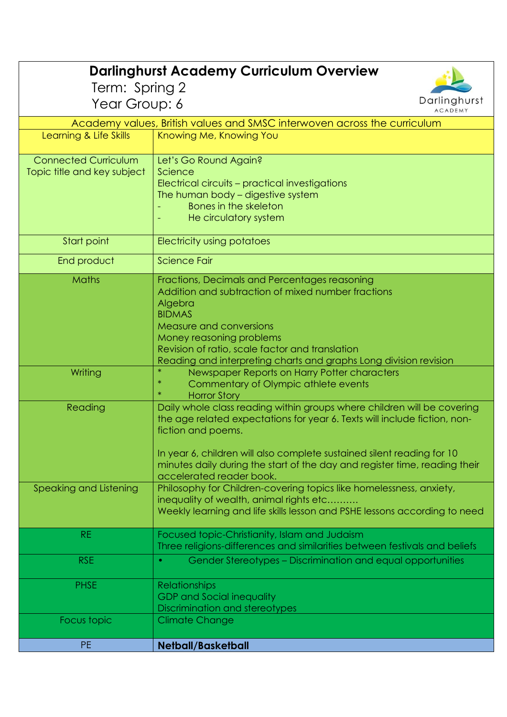| <b>Darlinghurst Academy Curriculum Overview</b>                          |                                                                                                                                                                                                                                                                                                                                                                |  |
|--------------------------------------------------------------------------|----------------------------------------------------------------------------------------------------------------------------------------------------------------------------------------------------------------------------------------------------------------------------------------------------------------------------------------------------------------|--|
| Term: Spring 2                                                           |                                                                                                                                                                                                                                                                                                                                                                |  |
| Darlinghurst<br>Year Group: 6                                            |                                                                                                                                                                                                                                                                                                                                                                |  |
| <b>ACADEMY</b>                                                           |                                                                                                                                                                                                                                                                                                                                                                |  |
| Academy values, British values and SMSC interwoven across the curriculum |                                                                                                                                                                                                                                                                                                                                                                |  |
| Learning & Life Skills                                                   | Knowing Me, Knowing You                                                                                                                                                                                                                                                                                                                                        |  |
| <b>Connected Curriculum</b><br>Topic title and key subject               | Let's Go Round Again?<br>Science<br>Electrical circuits - practical investigations<br>The human body - digestive system<br>Bones in the skeleton<br>He circulatory system                                                                                                                                                                                      |  |
| Start point                                                              | Electricity using potatoes                                                                                                                                                                                                                                                                                                                                     |  |
| End product                                                              | Science Fair                                                                                                                                                                                                                                                                                                                                                   |  |
| <b>Maths</b>                                                             | Fractions, Decimals and Percentages reasoning<br>Addition and subtraction of mixed number fractions<br>Algebra<br><b>BIDMAS</b><br>Measure and conversions<br>Money reasoning problems<br>Revision of ratio, scale factor and translation<br>Reading and interpreting charts and graphs Long division revision                                                 |  |
| Writing                                                                  | Newspaper Reports on Harry Potter characters<br>Commentary of Olympic athlete events<br>$\ast$<br><b>Horror Story</b>                                                                                                                                                                                                                                          |  |
| Reading                                                                  | Daily whole class reading within groups where children will be covering<br>the age related expectations for year 6. Texts will include fiction, non-<br>fiction and poems.<br>In year 6, children will also complete sustained silent reading for 10<br>minutes daily during the start of the day and register time, reading their<br>accelerated reader book. |  |
| Speaking and Listening                                                   | Philosophy for Children-covering topics like homelessness, anxiety,<br>inequality of wealth, animal rights etc<br>Weekly learning and life skills lesson and PSHE lessons according to need                                                                                                                                                                    |  |
| RE.                                                                      | Focused topic-Christianity, Islam and Judaism<br>Three religions-differences and similarities between festivals and beliefs                                                                                                                                                                                                                                    |  |
| <b>RSE</b>                                                               | Gender Stereotypes – Discrimination and equal opportunities<br>$\bullet$                                                                                                                                                                                                                                                                                       |  |
| <b>PHSE</b>                                                              | <b>Relationships</b><br><b>GDP and Social inequality</b><br>Discrimination and stereotypes                                                                                                                                                                                                                                                                     |  |
| Focus topic                                                              | <b>Climate Change</b>                                                                                                                                                                                                                                                                                                                                          |  |
| <b>PE</b>                                                                | <b>Netball/Basketball</b>                                                                                                                                                                                                                                                                                                                                      |  |